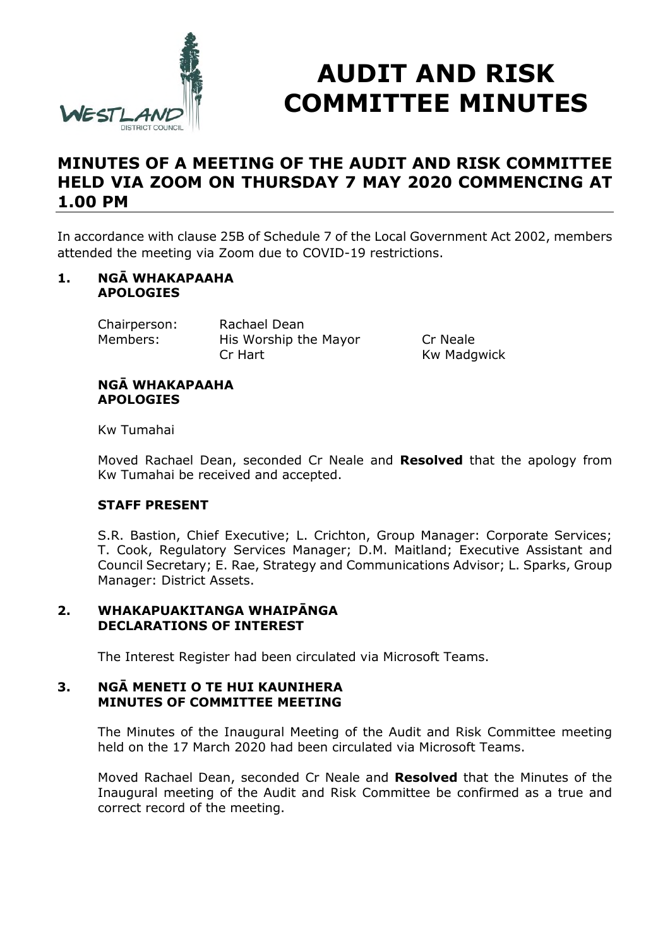

# **AUDIT AND RISK COMMITTEE MINUTES**

# **MINUTES OF A MEETING OF THE AUDIT AND RISK COMMITTEE HELD VIA ZOOM ON THURSDAY 7 MAY 2020 COMMENCING AT 1.00 PM**

In accordance with clause 25B of Schedule 7 of the Local Government Act 2002, members attended the meeting via Zoom due to COVID-19 restrictions.

#### **1. NGĀ WHAKAPAAHA APOLOGIES**

Chairperson: Rachael Dean Members: His Worship the Mayor Cr Neale Cr Hart Kw Madgwick

#### **NGĀ WHAKAPAAHA APOLOGIES**

Kw Tumahai

Moved Rachael Dean, seconded Cr Neale and **Resolved** that the apology from Kw Tumahai be received and accepted.

# **STAFF PRESENT**

S.R. Bastion, Chief Executive; L. Crichton, Group Manager: Corporate Services; T. Cook, Regulatory Services Manager; D.M. Maitland; Executive Assistant and Council Secretary; E. Rae, Strategy and Communications Advisor; L. Sparks, Group Manager: District Assets.

#### **2. WHAKAPUAKITANGA WHAIPĀNGA DECLARATIONS OF INTEREST**

The Interest Register had been circulated via Microsoft Teams.

#### **3. NGĀ MENETI O TE HUI KAUNIHERA MINUTES OF COMMITTEE MEETING**

The Minutes of the Inaugural Meeting of the Audit and Risk Committee meeting held on the 17 March 2020 had been circulated via Microsoft Teams.

Moved Rachael Dean, seconded Cr Neale and **Resolved** that the Minutes of the Inaugural meeting of the Audit and Risk Committee be confirmed as a true and correct record of the meeting.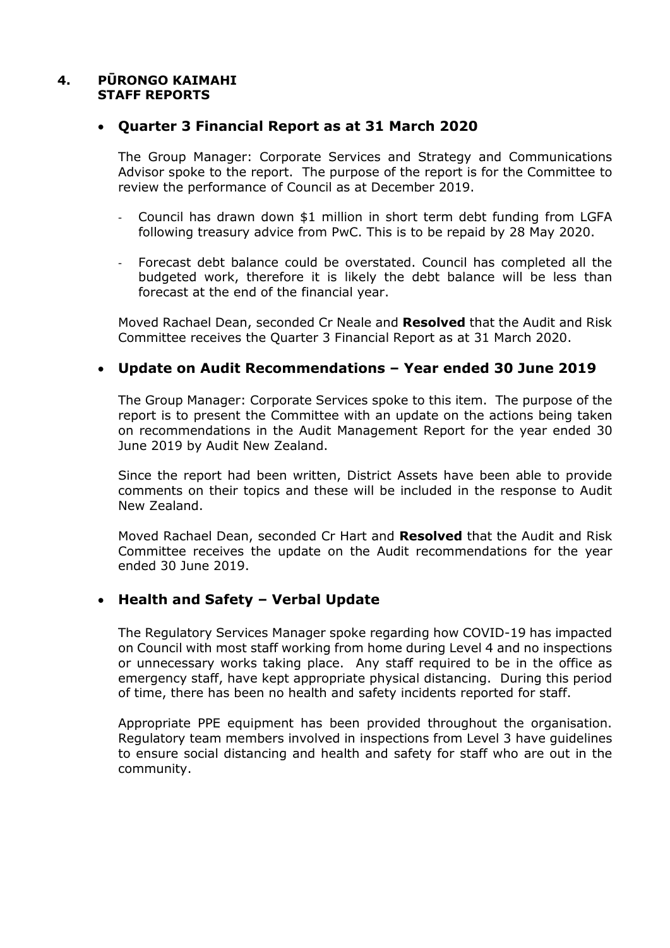#### **4. PŪRONGO KAIMAHI STAFF REPORTS**

### **Quarter 3 Financial Report as at 31 March 2020**

The Group Manager: Corporate Services and Strategy and Communications Advisor spoke to the report. The purpose of the report is for the Committee to review the performance of Council as at December 2019.

- Council has drawn down \$1 million in short term debt funding from LGFA following treasury advice from PwC. This is to be repaid by 28 May 2020.
- Forecast debt balance could be overstated. Council has completed all the budgeted work, therefore it is likely the debt balance will be less than forecast at the end of the financial year.

Moved Rachael Dean, seconded Cr Neale and **Resolved** that the Audit and Risk Committee receives the Quarter 3 Financial Report as at 31 March 2020.

# **Update on Audit Recommendations – Year ended 30 June 2019**

The Group Manager: Corporate Services spoke to this item. The purpose of the report is to present the Committee with an update on the actions being taken on recommendations in the Audit Management Report for the year ended 30 June 2019 by Audit New Zealand.

Since the report had been written, District Assets have been able to provide comments on their topics and these will be included in the response to Audit New Zealand.

Moved Rachael Dean, seconded Cr Hart and **Resolved** that the Audit and Risk Committee receives the update on the Audit recommendations for the year ended 30 June 2019.

# **Health and Safety – Verbal Update**

The Regulatory Services Manager spoke regarding how COVID-19 has impacted on Council with most staff working from home during Level 4 and no inspections or unnecessary works taking place. Any staff required to be in the office as emergency staff, have kept appropriate physical distancing. During this period of time, there has been no health and safety incidents reported for staff.

Appropriate PPE equipment has been provided throughout the organisation. Regulatory team members involved in inspections from Level 3 have guidelines to ensure social distancing and health and safety for staff who are out in the community.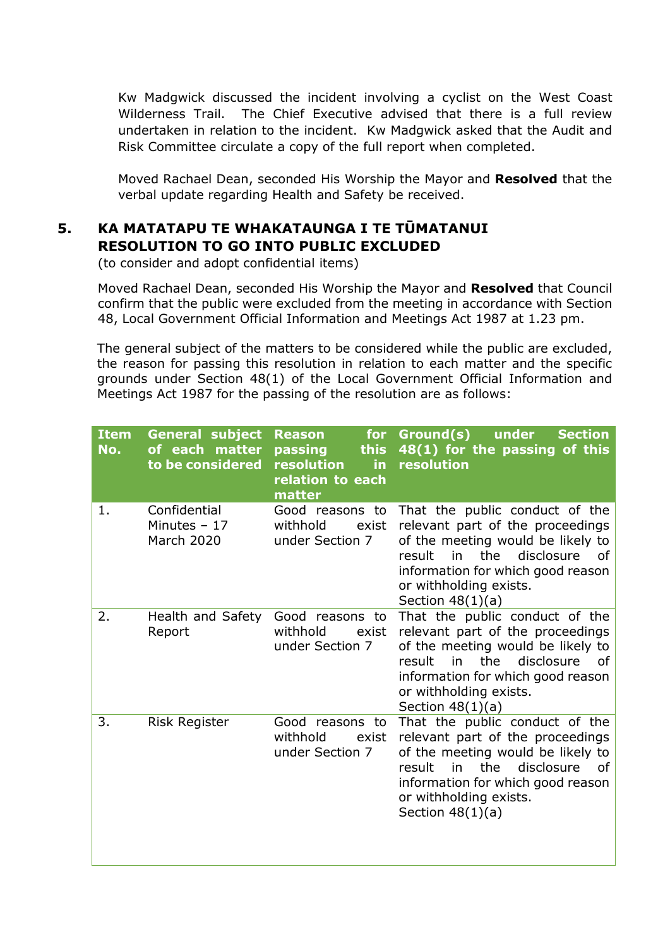Kw Madgwick discussed the incident involving a cyclist on the West Coast Wilderness Trail. The Chief Executive advised that there is a full review undertaken in relation to the incident. Kw Madgwick asked that the Audit and Risk Committee circulate a copy of the full report when completed.

Moved Rachael Dean, seconded His Worship the Mayor and **Resolved** that the verbal update regarding Health and Safety be received.

# **5. KA MATATAPU TE WHAKATAUNGA I TE TŪMATANUI RESOLUTION TO GO INTO PUBLIC EXCLUDED**

(to consider and adopt confidential items)

Moved Rachael Dean, seconded His Worship the Mayor and **Resolved** that Council confirm that the public were excluded from the meeting in accordance with Section 48, Local Government Official Information and Meetings Act 1987 at 1.23 pm.

The general subject of the matters to be considered while the public are excluded, the reason for passing this resolution in relation to each matter and the specific grounds under Section 48(1) of the Local Government Official Information and Meetings Act 1987 for the passing of the resolution are as follows:

| <b>Item</b><br>No. | <b>General subject</b><br>of each matter<br>to be considered | <b>Reason</b><br>for<br>passing<br>this<br>resolution<br>in.<br>relation to each<br>matter | Ground(s)<br>under<br><b>Section</b><br>48(1) for the passing of this<br>resolution                                                                                                                                                     |
|--------------------|--------------------------------------------------------------|--------------------------------------------------------------------------------------------|-----------------------------------------------------------------------------------------------------------------------------------------------------------------------------------------------------------------------------------------|
| 1.                 | Confidential<br>Minutes $-17$<br><b>March 2020</b>           | Good reasons to<br>withhold<br>exist<br>under Section 7                                    | That the public conduct of the<br>relevant part of the proceedings<br>of the meeting would be likely to<br>the<br>result<br>disclosure<br>in<br>of<br>information for which good reason<br>or withholding exists.<br>Section $48(1)(a)$ |
| 2.                 | Health and Safety<br>Report                                  | Good reasons to<br>withhold<br>exist<br>under Section 7                                    | That the public conduct of the<br>relevant part of the proceedings<br>of the meeting would be likely to<br>in the<br>disclosure<br>result<br>0f<br>information for which good reason<br>or withholding exists.<br>Section $48(1)(a)$    |
| 3.                 | <b>Risk Register</b>                                         | Good reasons to<br>withhold<br>exist<br>under Section 7                                    | That the public conduct of the<br>relevant part of the proceedings<br>of the meeting would be likely to<br>the<br>disclosure<br>result<br>in<br>οf<br>information for which good reason<br>or withholding exists.<br>Section $48(1)(a)$ |